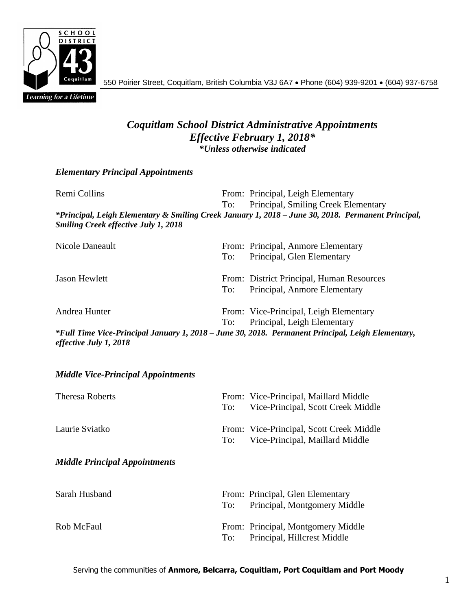

550 Poirier Street, Coquitlam, British Columbia V3J 6A7 Phone (604) 939-9201 (604) 937-6758

## *Coquitlam School District Administrative Appointments Effective February 1, 2018\* \*Unless otherwise indicated*

| <b>Elementary Principal Appointments</b>                                                                                                          |     |                                           |  |
|---------------------------------------------------------------------------------------------------------------------------------------------------|-----|-------------------------------------------|--|
| Remi Collins                                                                                                                                      |     | From: Principal, Leigh Elementary         |  |
|                                                                                                                                                   | To: | Principal, Smiling Creek Elementary       |  |
| *Principal, Leigh Elementary & Smiling Creek January 1, 2018 - June 30, 2018. Permanent Principal,<br><b>Smiling Creek effective July 1, 2018</b> |     |                                           |  |
| <b>Nicole Daneault</b>                                                                                                                            |     | From: Principal, Anmore Elementary        |  |
|                                                                                                                                                   | To: | Principal, Glen Elementary                |  |
| <b>Jason Hewlett</b>                                                                                                                              |     | From: District Principal, Human Resources |  |
|                                                                                                                                                   | To: | Principal, Anmore Elementary              |  |
| Andrea Hunter                                                                                                                                     |     | From: Vice-Principal, Leigh Elementary    |  |
|                                                                                                                                                   | To: | Principal, Leigh Elementary               |  |
| *Full Time Vice-Principal January 1, 2018 – June 30, 2018. Permanent Principal, Leigh Elementary,<br>effective July 1, 2018                       |     |                                           |  |
| <b>Middle Vice-Principal Appointments</b>                                                                                                         |     |                                           |  |
| <b>Theresa Roberts</b>                                                                                                                            |     | From: Vice-Principal, Maillard Middle     |  |
|                                                                                                                                                   | To: | Vice-Principal, Scott Creek Middle        |  |
| Laurie Sviatko                                                                                                                                    |     | From: Vice-Principal, Scott Creek Middle  |  |
|                                                                                                                                                   | To: | Vice-Principal, Maillard Middle           |  |
| <b>Middle Principal Appointments</b>                                                                                                              |     |                                           |  |
| Sarah Husband                                                                                                                                     |     | From: Principal, Glen Elementary          |  |
|                                                                                                                                                   | To: | Principal, Montgomery Middle              |  |
| Rob McFaul                                                                                                                                        |     | From: Principal, Montgomery Middle        |  |
|                                                                                                                                                   | To: | Principal, Hillcrest Middle               |  |